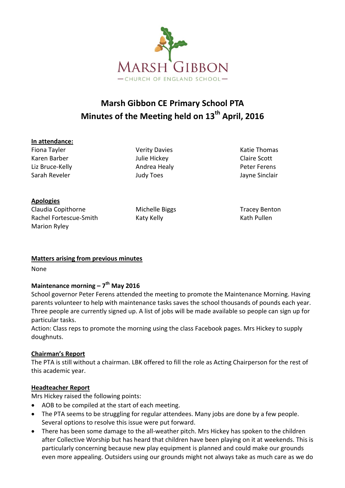

# **Marsh Gibbon CE Primary School PTA Minutes of the Meeting held on 13th April, 2016**

#### **In attendance:**

Fiona Tayler Verity Davies Katie Thomas Karen Barber Julie Hickey Claire Scott Liz Bruce-Kelly **Andrea Healy** Peter Ferens Sarah Reveler **Marko Sarah Reveler** And Suddy Toes and Jayne Sinclair

**Apologies**

Claudia Copithorne **Michelle Biggs** Tracey Benton Rachel Fortescue-Smith Katy Kelly Kath Pullen Marion Ryley

## **Matters arising from previous minutes**

None

## **Maintenance morning – 7 th May 2016**

School governor Peter Ferens attended the meeting to promote the Maintenance Morning. Having parents volunteer to help with maintenance tasks saves the school thousands of pounds each year. Three people are currently signed up. A list of jobs will be made available so people can sign up for particular tasks.

Action: Class reps to promote the morning using the class Facebook pages. Mrs Hickey to supply doughnuts.

## **Chairman's Report**

The PTA is still without a chairman. LBK offered to fill the role as Acting Chairperson for the rest of this academic year.

## **Headteacher Report**

Mrs Hickey raised the following points:

- AOB to be compiled at the start of each meeting.
- The PTA seems to be struggling for regular attendees. Many jobs are done by a few people. Several options to resolve this issue were put forward.
- There has been some damage to the all-weather pitch. Mrs Hickey has spoken to the children after Collective Worship but has heard that children have been playing on it at weekends. This is particularly concerning because new play equipment is planned and could make our grounds even more appealing. Outsiders using our grounds might not always take as much care as we do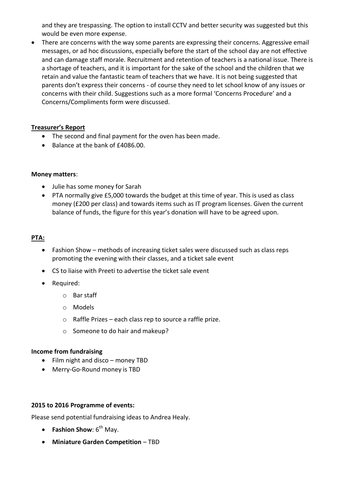and they are trespassing. The option to install CCTV and better security was suggested but this would be even more expense.

• There are concerns with the way some parents are expressing their concerns. Aggressive email messages, or ad hoc discussions, especially before the start of the school day are not effective and can damage staff morale. Recruitment and retention of teachers is a national issue. There is a shortage of teachers, and it is important for the sake of the school and the children that we retain and value the fantastic team of teachers that we have. It is not being suggested that parents don't express their concerns - of course they need to let school know of any issues or concerns with their child. Suggestions such as a more formal 'Concerns Procedure' and a Concerns/Compliments form were discussed.

#### **Treasurer's Report**

- The second and final payment for the oven has been made.
- $\bullet$  Balance at the bank of  $f4086.00$ .

#### **Money matters**:

- Julie has some money for Sarah
- PTA normally give £5,000 towards the budget at this time of year. This is used as class money (£200 per class) and towards items such as IT program licenses. Given the current balance of funds, the figure for this year's donation will have to be agreed upon.

#### **PTA:**

- Fashion Show methods of increasing ticket sales were discussed such as class reps promoting the evening with their classes, and a ticket sale event
- CS to liaise with Preeti to advertise the ticket sale event
- Required:
	- o Bar staff
	- o Models
	- o Raffle Prizes each class rep to source a raffle prize.
	- o Someone to do hair and makeup?

#### **Income from fundraising**

- Film night and disco money TBD
- Merry-Go-Round money is TBD

#### **2015 to 2016 Programme of events:**

Please send potential fundraising ideas to Andrea Healy.

- **•** Fashion Show:  $6^{th}$  May.
- **Miniature Garden Competition** TBD